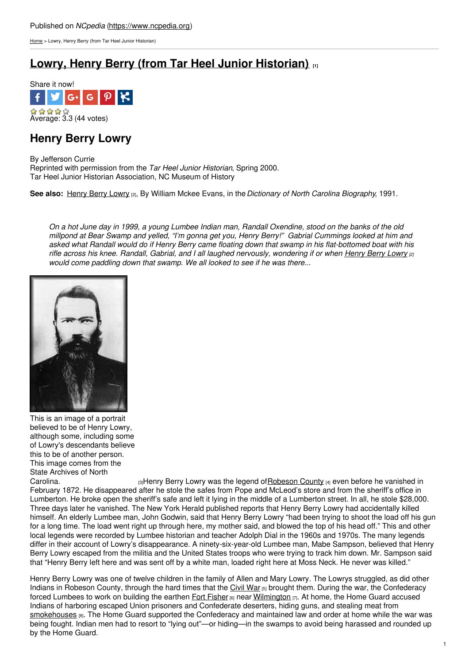[Home](https://www.ncpedia.org/) > Lowry, Henry Berry (from Tar Heel Junior Historian)

## **Lowry, Henry Berry (from Tar Heel Junior [Historian\)](https://www.ncpedia.org/biography/lowry-henry)**



## **Henry Berry Lowry**

By Jefferson Currie Reprinted with permission from the *Tar Heel Junior Historian*, Spring 2000. Tar Heel Junior Historian Association, NC Museum of History

**See also:** [Henry](https://www.ncpedia.org/biography/lowry-henry-berry) Berry Lowry [2], By William Mckee Evans, in the*Dictionary of North Carolina Biography*, 1991.

On a hot June day in 1999, a young Lumbee Indian man, Randall Oxendine, stood on the banks of the old millpond at Bear Swamp and yelled, "I'm gonna get you, Henry Berry!" Gabrial Cummings looked at him and asked what Randall would do if Henry Berry came floating down that swamp in his flat-bottomed boat with his rifle across his knee. Randall, Gabrial, and I all laughed nervously, wondering if or when [Henry](https://www.ncpedia.org/biography/lowry-henry-berry) Berry Lowry (2) *would come paddling down that swamp. We all looked to see if he was there...*



This is an image of a portrait believed to be of Henry Lowry, although some, including some of Lowry's descendants believe this to be of another person. This image comes from the State Archives of North<br>Carolina

 $\beta$ Henry Berry Lowry was the legend of [Robeson](https://www.ncpedia.org/geography/robeson) County  $\beta$  even before he vanished in February 1872. He disappeared after he stole the safes from Pope and McLeod's store and from the sheriff's office in Lumberton. He broke open the sheriff's safe and left it lying in the middle of a Lumberton street. In all, he stole \$28,000. Three days later he vanished. The New York Herald published reports that Henry Berry Lowry had accidentally killed himself. An elderly Lumbee man, John Godwin, said that Henry Berry Lowry "had been trying to shoot the load off his gun for a long time. The load went right up through here, my mother said, and blowed the top of his head off." This and other local legends were recorded by Lumbee historian and teacher Adolph Dial in the 1960s and 1970s. The many legends differ in their account of Lowry's disappearance. A ninety-six-year-old Lumbee man, Mabe Sampson, believed that Henry Berry Lowry escaped from the militia and the United States troops who were trying to track him down. Mr. Sampson said that "Henry Berry left here and was sent off by a white man, loaded right here at Moss Neck. He never was killed."

Henry Berry Lowry was one of twelve children in the family of Allen and Mary Lowry. The Lowrys struggled, as did other Indians in Robeson County, through the hard times that the [Civil](https://www.ncpedia.org/history/cw-1900/civil-war) War [5] brought them. During the war, the Confederacy forced Lumbees to work on building the earthen Fort [Fisher](http://www.nchistoricsites.org/fisher/fisher.htm) [6] near [Wilmington](https://www.ncpedia.org/geography/wilmington) [7]. At home, the Home Guard accused Indians of harboring escaped Union prisoners and Confederate deserters, hiding guns, and stealing meat from [smokehouses](https://www.ncpedia.org/smokehouses) [8]. The Home Guard supported the Confederacy and maintained law and order at home while the war was being fought. Indian men had to resort to "lying out"—or hiding—in the swamps to avoid being harassed and rounded up by the Home Guard.